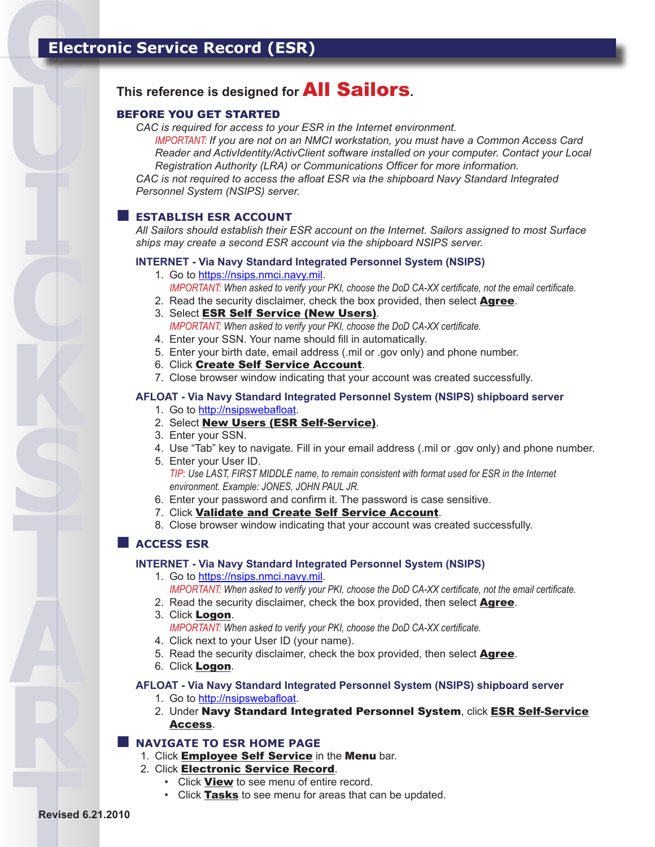**U**

**I**

**C**

**K**

**S**

**T**

**A**

**R**

# **This reference is designed for** All Sailors**.**

### BEFORE YOU GET STARTED

*CAC is required for access to your ESR in the Internet environment.* 

*IMPORTANT: If you are not on an NMCI workstation, you must have a Common Access Card Reader and ActivIdentity/ActivClient software installed on your computer. Contact your Local Registration Authority (LRA) or Communications Officer for more information.*

*CAC is not required to access the afloat ESR via the shipboard Navy Standard Integrated Personnel System (NSIPS) server.* 

# **ESTABLISH ESR ACCOUNT**

*All Sailors should establish their ESR account on the Internet. Sailors assigned to most Surface ships may create a second ESR account via the shipboard NSIPS server.* 

#### **INTERNET - Via Navy Standard Integrated Personnel System (NSIPS)**

- 1. Go to https://nsips.nmci.navy.mil. *IMPORTANT: When asked to verify your PKI, choose the DoD CA-XX certificate, not the email certificate.*
- 2. Read the security disclaimer, check the box provided, then select **Agree**.
- 3. Select <mark>ESR Self Service (New Users)</mark>.
- *IMPORTANT: When asked to verify your PKI, choose the DoD CA-XX certificate.*
- Enter your SSN. Your name should fill in automatically. 4.
- Enter your birth date, email address (.mil or .gov only) and phone number. 5.
- 6. Click **Create Self Service Account**.
- 7. Close browser window indicating that your account was created successfully.

### **AFLOAT - Via Navy Standard Integrated Personnel System (NSIPS) shipboard server**

- 1. Go to http://nsipswebafloat.
- 2. Select <mark>New Users (ESR Self-Service)</mark>.
- Enter your SSN. 3.
- 4. Use "Tab" key to navigate. Fill in your email address (.mil or .gov only) and phone number.
- 5. Enter your User ID. *TIP: Use LAST, FIRST MIDDLE name, to remain consistent with format used for ESR in the Internet environment. Example: JONES, JOHN PAUL JR.*
- 6. Enter your password and confirm it. The password is case sensitive.
- 7. Click **Validate and Create Self Service Account**.
- 8. Close browser window indicating that your account was created successfully.

# **ACCESS ESR**

### **INTERNET - Via Navy Standard Integrated Personnel System (NSIPS)**

- 1. Go to https://nsips.nmci.navy.mil. *IMPORTANT: When asked to verify your PKI, choose the DoD CA-XX certificate, not the email certificate.*
- 2. Read the security disclaimer, check the box provided, then select **Agree**.
- 3. Click Logon. *IMPORTANT: When asked to verify your PKI, choose the DoD CA-XX certificate.*
- 4. Click next to your User ID (your name).
- 5. Read the security disclaimer, check the box provided, then select **Agree**.
- 6. Click Logon.

### **AFLOAT - Via Navy Standard Integrated Personnel System (NSIPS) shipboard server**

- 1. Go to http://nsipswebafloat.
- 2. Under **Navy Standard Integrated Personnel System**, click <mark>ESR Self-Service</mark> Access.

# **NAVIGATE TO ESR HOME PAGE**

- 1. Click **Employee Self Service** in the **Menu** bar.
- 2. Click <mark>Electronic Service Record</mark>.
	- Click **View** to see menu of entire record.
	- Click **Tasks** to see menu for areas that can be updated.